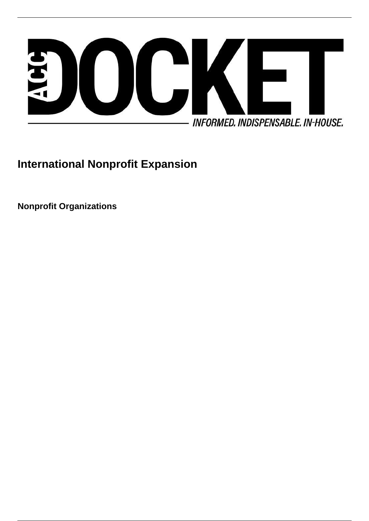

# **International Nonprofit Expansion**

**Nonprofit Organizations**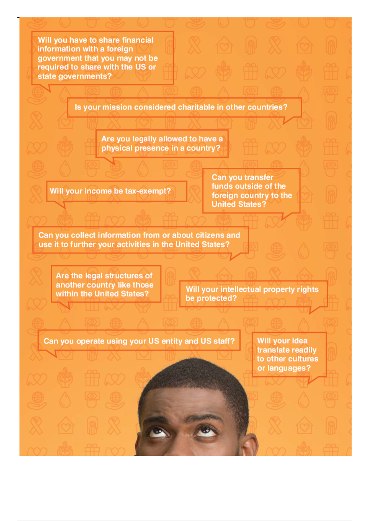Will you have to share financial information with a foreign government that you may not be required to share with the US or state governments?

Is your mission considered charitable in other countries?

Are you legally allowed to have a physical presence in a country?

Will your income be tax-exempt?

Can you transfer funds outside of the foreign country to the **United States?** 

Can you collect information from or about citizens and use it to further your activities in the United States?

Are the legal structures of another country like those within the United States?

Will your intellectual property rights be protected?

Can you operate using your US entity and US staff?

Will your idea translate readily to other cultures or languages?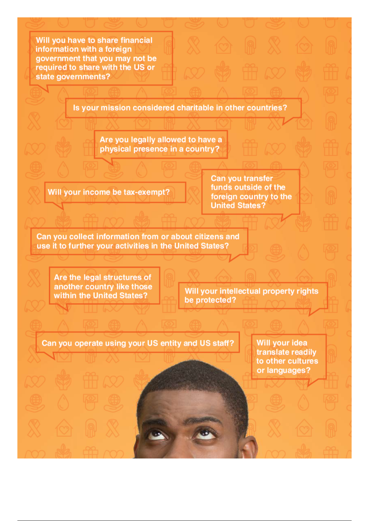Will you have to share financial information with a foreign government that you may not be required to share with the US or state governments?

Is your mission considered charitable in other countries?

Are you legally allowed to have a physical presence in a country?

Will your income be tax-exempt?

Can you transfer funds outside of the foreign country to the **United States?** 

Can you collect information from or about citizens and use it to further your activities in the United States?

Are the legal structures of another country like those within the United States?

Will your intellectual property rights be protected?

Can you operate using your US entity and US staff?

Will vour idea translate readily to other cultures or languages?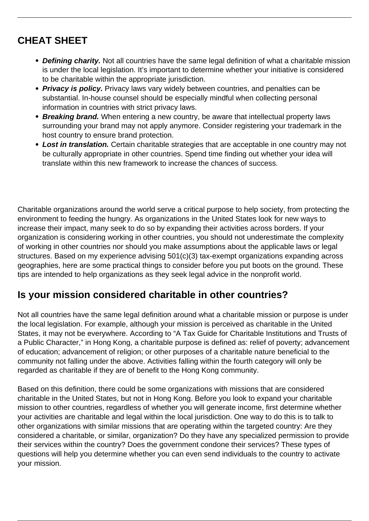# **CHEAT SHEET**

- **Defining charity.** Not all countries have the same legal definition of what a charitable mission is under the local legislation. It's important to determine whether your initiative is considered to be charitable within the appropriate jurisdiction.
- **Privacy is policy.** Privacy laws vary widely between countries, and penalties can be substantial. In-house counsel should be especially mindful when collecting personal information in countries with strict privacy laws.
- **Breaking brand.** When entering a new country, be aware that intellectual property laws surrounding your brand may not apply anymore. Consider registering your trademark in the host country to ensure brand protection.
- **Lost in translation.** Certain charitable strategies that are acceptable in one country may not be culturally appropriate in other countries. Spend time finding out whether your idea will translate within this new framework to increase the chances of success.

Charitable organizations around the world serve a critical purpose to help society, from protecting the environment to feeding the hungry. As organizations in the United States look for new ways to increase their impact, many seek to do so by expanding their activities across borders. If your organization is considering working in other countries, you should not underestimate the complexity of working in other countries nor should you make assumptions about the applicable laws or legal structures. Based on my experience advising 501(c)(3) tax-exempt organizations expanding across geographies, here are some practical things to consider before you put boots on the ground. These tips are intended to help organizations as they seek legal advice in the nonprofit world.

### **Is your mission considered charitable in other countries?**

Not all countries have the same legal definition around what a charitable mission or purpose is under the local legislation. For example, although your mission is perceived as charitable in the United States, it may not be everywhere. According to "A Tax Guide for Charitable Institutions and Trusts of a Public Character," in Hong Kong, a charitable purpose is defined as: relief of poverty; advancement of education; advancement of religion; or other purposes of a charitable nature beneficial to the community not falling under the above. Activities falling within the fourth category will only be regarded as charitable if they are of benefit to the Hong Kong community.

Based on this definition, there could be some organizations with missions that are considered charitable in the United States, but not in Hong Kong. Before you look to expand your charitable mission to other countries, regardless of whether you will generate income, first determine whether your activities are charitable and legal within the local jurisdiction. One way to do this is to talk to other organizations with similar missions that are operating within the targeted country: Are they considered a charitable, or similar, organization? Do they have any specialized permission to provide their services within the country? Does the government condone their services? These types of questions will help you determine whether you can even send individuals to the country to activate your mission.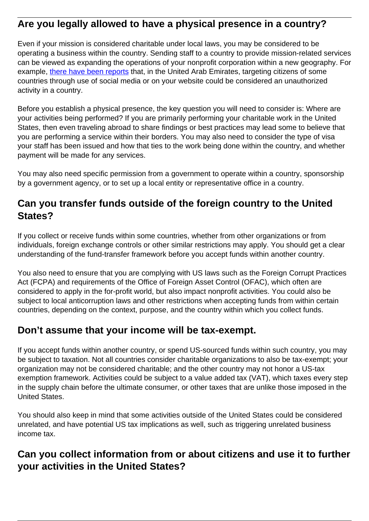#### **Are you legally allowed to have a physical presence in a country?**

Even if your mission is considered charitable under local laws, you may be considered to be operating a business within the country. Sending staff to a country to provide mission-related services can be viewed as expanding the operations of your nonprofit corporation within a new geography. For example, [there have been reports](https://www.theguardian.com/world/2016/aug/19/man-jail-term-dubai-facebook-link-to-charity) that, in the United Arab Emirates, targeting citizens of some countries through use of social media or on your website could be considered an unauthorized activity in a country.

Before you establish a physical presence, the key question you will need to consider is: Where are your activities being performed? If you are primarily performing your charitable work in the United States, then even traveling abroad to share findings or best practices may lead some to believe that you are performing a service within their borders. You may also need to consider the type of visa your staff has been issued and how that ties to the work being done within the country, and whether payment will be made for any services.

You may also need specific permission from a government to operate within a country, sponsorship by a government agency, or to set up a local entity or representative office in a country.

#### **Can you transfer funds outside of the foreign country to the United States?**

If you collect or receive funds within some countries, whether from other organizations or from individuals, foreign exchange controls or other similar restrictions may apply. You should get a clear understanding of the fund-transfer framework before you accept funds within another country.

You also need to ensure that you are complying with US laws such as the Foreign Corrupt Practices Act (FCPA) and requirements of the Office of Foreign Asset Control (OFAC), which often are considered to apply in the for-profit world, but also impact nonprofit activities. You could also be subject to local anticorruption laws and other restrictions when accepting funds from within certain countries, depending on the context, purpose, and the country within which you collect funds.

#### **Don't assume that your income will be tax-exempt.**

If you accept funds within another country, or spend US-sourced funds within such country, you may be subject to taxation. Not all countries consider charitable organizations to also be tax-exempt; your organization may not be considered charitable; and the other country may not honor a US-tax exemption framework. Activities could be subject to a value added tax (VAT), which taxes every step in the supply chain before the ultimate consumer, or other taxes that are unlike those imposed in the United States.

You should also keep in mind that some activities outside of the United States could be considered unrelated, and have potential US tax implications as well, such as triggering unrelated business income tax.

### **Can you collect information from or about citizens and use it to further your activities in the United States?**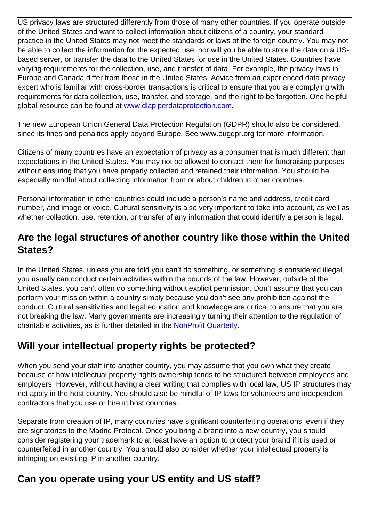US privacy laws are structured differently from those of many other countries. If you operate outside of the United States and want to collect information about citizens of a country, your standard practice in the United States may not meet the standards or laws of the foreign country. You may not be able to collect the information for the expected use, nor will you be able to store the data on a USbased server, or transfer the data to the United States for use in the United States. Countries have varying requirements for the collection, use, and transfer of data. For example, the privacy laws in Europe and Canada differ from those in the United States. Advice from an experienced data privacy expert who is familiar with cross-border transactions is critical to ensure that you are complying with requirements for data collection, use, transfer, and storage, and the right to be forgotten. One helpful global resource can be found at [www.dlapiperdataprotection.com.](https://www.dlapiperdataprotection.com/)

The new European Union General Data Protection Regulation (GDPR) should also be considered, since its fines and penalties apply beyond Europe. See www.eugdpr.org for more information.

Citizens of many countries have an expectation of privacy as a consumer that is much different than expectations in the United States. You may not be allowed to contact them for fundraising purposes without ensuring that you have properly collected and retained their information. You should be especially mindful about collecting information from or about children in other countries.

Personal information in other countries could include a person's name and address, credit card number, and image or voice. Cultural sensitivity is also very important to take into account, as well as whether collection, use, retention, or transfer of any information that could identify a person is legal.

#### **Are the legal structures of another country like those within the United States?**

In the United States, unless you are told you can't do something, or something is considered illegal, you usually can conduct certain activities within the bounds of the law. However, outside of the United States, you can't often do something without explicit permission. Don't assume that you can perform your mission within a country simply because you don't see any prohibition against the conduct. Cultural sensitivities and legal education and knowledge are critical to ensure that you are not breaking the law. Many governments are increasingly turning their attention to the regulation of charitable activities, as is further detailed in the **NonProfit Quarterly**.

## **Will your intellectual property rights be protected?**

When you send your staff into another country, you may assume that you own what they create because of how intellectual property rights ownership tends to be structured between employees and employers. However, without having a clear writing that complies with local law, US IP structures may not apply in the host country. You should also be mindful of IP laws for volunteers and independent contractors that you use or hire in host countries.

Separate from creation of IP, many countries have significant counterfeiting operations, even if they are signatories to the Madrid Protocol. Once you bring a brand into a new country, you should consider registering your trademark to at least have an option to protect your brand if it is used or counterfeited in another country. You should also consider whether your intellectual property is infringing on exisiting IP in another country.

### **Can you operate using your US entity and US staff?**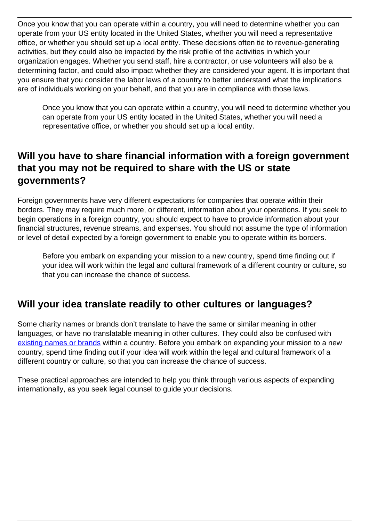Once you know that you can operate within a country, you will need to determine whether you can operate from your US entity located in the United States, whether you will need a representative office, or whether you should set up a local entity. These decisions often tie to revenue-generating activities, but they could also be impacted by the risk profile of the activities in which your organization engages. Whether you send staff, hire a contractor, or use volunteers will also be a determining factor, and could also impact whether they are considered your agent. It is important that you ensure that you consider the labor laws of a country to better understand what the implications are of individuals working on your behalf, and that you are in compliance with those laws.

Once you know that you can operate within a country, you will need to determine whether you can operate from your US entity located in the United States, whether you will need a representative office, or whether you should set up a local entity.

#### **Will you have to share financial information with a foreign government that you may not be required to share with the US or state governments?**

Foreign governments have very different expectations for companies that operate within their borders. They may require much more, or different, information about your operations. If you seek to begin operations in a foreign country, you should expect to have to provide information about your financial structures, revenue streams, and expenses. You should not assume the type of information or level of detail expected by a foreign government to enable you to operate within its borders.

Before you embark on expanding your mission to a new country, spend time finding out if your idea will work within the legal and cultural framework of a different country or culture, so that you can increase the chance of success.

#### **Will your idea translate readily to other cultures or languages?**

Some charity names or brands don't translate to have the same or similar meaning in other languages, or have no translatable meaning in other cultures. They could also be confused with [existing names or brands](https://smallbusiness.chron.com/name-ideas-charity-organization-3856.html) within a country. Before you embark on expanding your mission to a new country, spend time finding out if your idea will work within the legal and cultural framework of a different country or culture, so that you can increase the chance of success.

These practical approaches are intended to help you think through various aspects of expanding internationally, as you seek legal counsel to guide your decisions.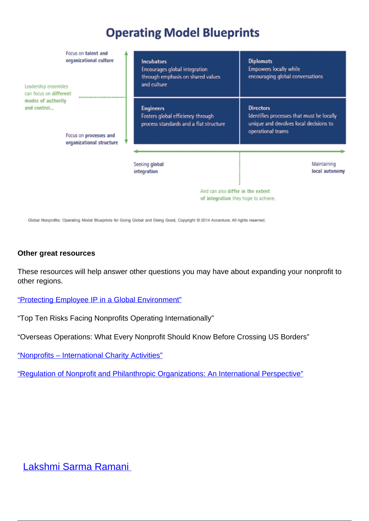# **Operating Model Blueprints**

| Focus on talent and<br>organizational culture<br>Leadership ensembles<br>can focus on different<br>modes of authority<br>and control<br>Focus on processes and<br>organizational structure | <b>Incubators</b><br>Encourages global integration<br>through emphasis on shared values<br>and culture     | <b>Diplomats</b><br>Empowers locally while<br>encouraging global conversations                                               |
|--------------------------------------------------------------------------------------------------------------------------------------------------------------------------------------------|------------------------------------------------------------------------------------------------------------|------------------------------------------------------------------------------------------------------------------------------|
|                                                                                                                                                                                            | <b>Engineers</b><br>Fosters global efficiency through<br>process standards and a flat structure            | <b>Directors</b><br>Identifies processes that must be locally<br>unique and devolves local decisions to<br>operational teams |
|                                                                                                                                                                                            | Seeking global<br>integration<br>And can also differ in the extent<br>of integration they hope to achieve. | Maintaining<br>local autonomy                                                                                                |

Global Nonprofits: Operating Model Blueprints for Going Global and Doing Good, Copyright @ 2014 Accenture. All rights reserved.

#### **Other great resources**

These resources will help answer other questions you may have about expanding your nonprofit to other regions.

["Protecting Employee IP in a Global Environment"](https://www.law360.com/articles/303788/protecting-employee-ip-in-a-global-environment)

"Top Ten Risks Facing Nonprofits Operating Internationally"

"Overseas Operations: What Every Nonprofit Should Know Before Crossing US Borders"

["Nonprofits – International Charity Activities"](http://nonprofitlawblog.com/nonprofits-international-charity/)

["Regulation of Nonprofit and Philanthropic Organizations: An International Perspective"](https://nonprofitquarterly.org/regulation-philanthropic-organizations/)

[Lakshmi Sarma Ramani](/author/lakshmi-sarma-ramani)